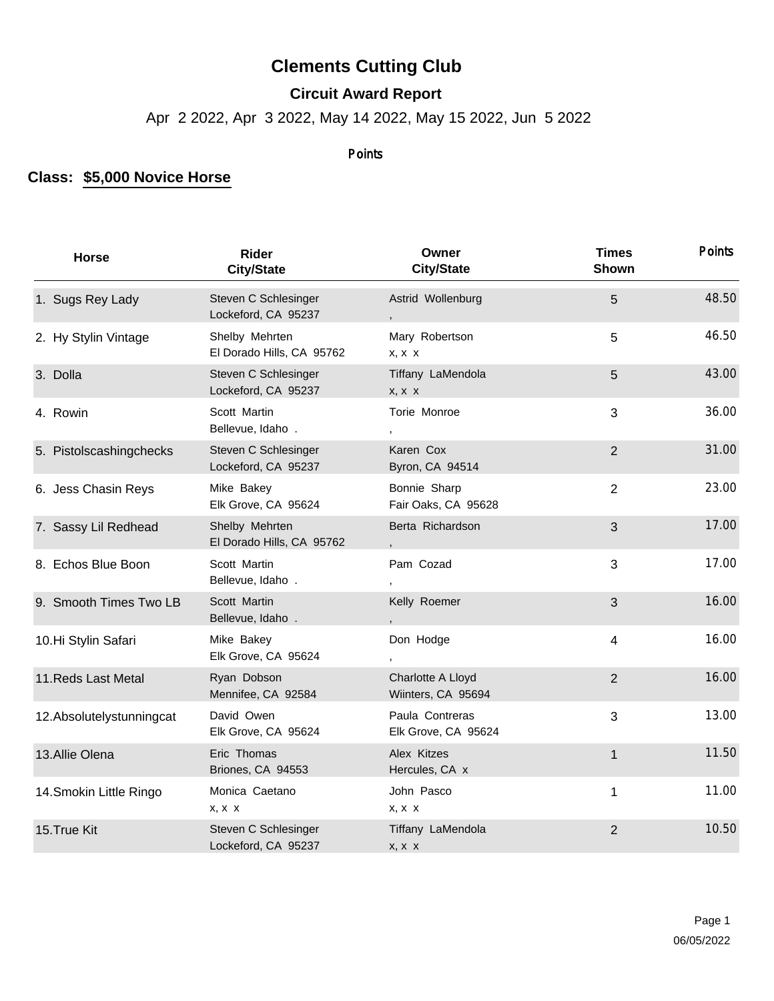## **Clements Cutting Club**

## **Circuit Award Report**

Apr 2 2022, Apr 3 2022, May 14 2022, May 15 2022, Jun 5 2022

## Points

## **Class: \$5,000 Novice Horse**

| <b>Horse</b>              | <b>Rider</b><br><b>City/State</b>           | Owner<br><b>City/State</b>              | <b>Times</b><br>Shown | <b>Points</b> |
|---------------------------|---------------------------------------------|-----------------------------------------|-----------------------|---------------|
| 1. Sugs Rey Lady          | Steven C Schlesinger<br>Lockeford, CA 95237 | Astrid Wollenburg                       | 5                     | 48.50         |
| 2. Hy Stylin Vintage      | Shelby Mehrten<br>El Dorado Hills, CA 95762 | Mary Robertson<br>X, X, X               | 5                     | 46.50         |
| 3. Dolla                  | Steven C Schlesinger<br>Lockeford, CA 95237 | Tiffany LaMendola<br>$X, X \ X$         | 5                     | 43.00         |
| 4. Rowin                  | Scott Martin<br>Bellevue, Idaho.            | Torie Monroe                            | 3                     | 36.00         |
| 5. Pistolscashingchecks   | Steven C Schlesinger<br>Lockeford, CA 95237 | Karen Cox<br>Byron, CA 94514            | $\overline{2}$        | 31.00         |
| 6. Jess Chasin Reys       | Mike Bakey<br>Elk Grove, CA 95624           | Bonnie Sharp<br>Fair Oaks, CA 95628     | $\overline{2}$        | 23.00         |
| 7. Sassy Lil Redhead      | Shelby Mehrten<br>El Dorado Hills, CA 95762 | Berta Richardson                        | 3                     | 17.00         |
| 8. Echos Blue Boon        | Scott Martin<br>Bellevue, Idaho.            | Pam Cozad                               | 3                     | 17.00         |
| 9. Smooth Times Two LB    | Scott Martin<br>Bellevue, Idaho.            | Kelly Roemer                            | 3                     | 16.00         |
| 10.Hi Stylin Safari       | Mike Bakey<br>Elk Grove, CA 95624           | Don Hodge                               | $\overline{4}$        | 16.00         |
| 11. Reds Last Metal       | Ryan Dobson<br>Mennifee, CA 92584           | Charlotte A Lloyd<br>Wiinters, CA 95694 | $\overline{2}$        | 16.00         |
| 12. Absolutelystunningcat | David Owen<br>Elk Grove, CA 95624           | Paula Contreras<br>Elk Grove, CA 95624  | 3                     | 13.00         |
| 13. Allie Olena           | Eric Thomas<br>Briones, CA 94553            | Alex Kitzes<br>Hercules, CA x           | $\mathbf{1}$          | 11.50         |
| 14. Smokin Little Ringo   | Monica Caetano<br>$X, X \ X$                | John Pasco<br>x, x x                    | $\mathbf 1$           | 11.00         |
| 15. True Kit              | Steven C Schlesinger<br>Lockeford, CA 95237 | Tiffany LaMendola<br>$X, X \ X$         | $\overline{2}$        | 10.50         |